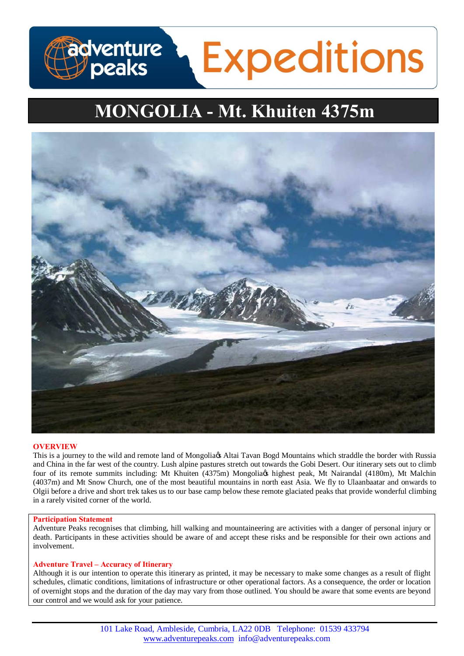# **adventure**<br>Deaks **Expeditions**

# **MONGOLIA - Mt. Khuiten 4375m**



# **OVERVIEW**

This is a journey to the wild and remote land of Mongolia & Altai Tavan Bogd Mountains which straddle the border with Russia and China in the far west of the country. Lush alpine pastures stretch out towards the Gobi Desert. Our itinerary sets out to climb four of its remote summits including: Mt Khuiten (4375m) Mongolia & highest peak, Mt Nairandal (4180m), Mt Malchin (4037m) and Mt Snow Church, one of the most beautiful mountains in north east Asia. We fly to Ulaanbaatar and onwards to Olgii before a drive and short trek takes us to our base camp below these remote glaciated peaks that provide wonderful climbing in a rarely visited corner of the world.

# **Participation Statement**

Adventure Peaks recognises that climbing, hill walking and mountaineering are activities with a danger of personal injury or death. Participants in these activities should be aware of and accept these risks and be responsible for their own actions and involvement.

# **Adventure Travel – Accuracy of Itinerary**

Although it is our intention to operate this itinerary as printed, it may be necessary to make some changes as a result of flight schedules, climatic conditions, limitations of infrastructure or other operational factors. As a consequence, the order or location of overnight stops and the duration of the day may vary from those outlined. You should be aware that some events are beyond our control and we would ask for your patience.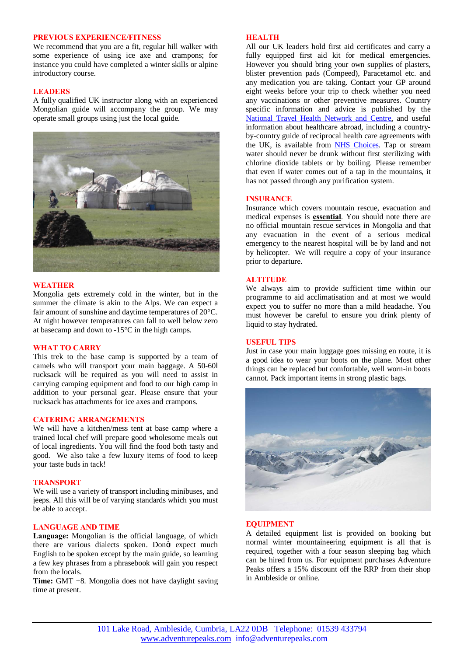#### **PREVIOUS EXPERIENCE/FITNESS**

We recommend that you are a fit, regular hill walker with some experience of using ice axe and crampons; for instance you could have completed a winter skills or alpine introductory course.

#### **LEADERS**

A fully qualified UK instructor along with an experienced Mongolian guide will accompany the group. We may operate small groups using just the local guide.



#### **WEATHER**

Mongolia gets extremely cold in the winter, but in the summer the climate is akin to the Alps. We can expect a fair amount of sunshine and daytime temperatures of 20°C. At night however temperatures can fall to well below zero at basecamp and down to -15°C in the high camps.

# **WHAT TO CARRY**

This trek to the base camp is supported by a team of camels who will transport your main baggage. A 50-60l rucksack will be required as you will need to assist in carrying camping equipment and food to our high camp in addition to your personal gear. Please ensure that your rucksack has attachments for ice axes and crampons.

#### **CATERING ARRANGEMENTS**

We will have a kitchen/mess tent at base camp where a trained local chef will prepare good wholesome meals out of local ingredients. You will find the food both tasty and good. We also take a few luxury items of food to keep your taste buds in tack!

#### **TRANSPORT**

We will use a variety of transport including minibuses, and jeeps. All this will be of varying standards which you must be able to accept.

#### **LANGUAGE AND TIME**

**Language:** Mongolian is the official language, of which there are various dialects spoken. Dongt expect much English to be spoken except by the main guide, so learning a few key phrases from a phrasebook will gain you respect from the locals.

**Time:** GMT +8. Mongolia does not have daylight saving time at present.

#### **HEALTH**

All our UK leaders hold first aid certificates and carry a fully equipped first aid kit for medical emergencies. However you should bring your own supplies of plasters, blister prevention pads (Compeed), Paracetamol etc. and any medication you are taking. Contact your GP around eight weeks before your trip to check whether you need any vaccinations or other preventive measures. Country specific information and advice is published by the [National Travel Health Network and Centre,](http://www.nathnac.org/ds/map_world.aspx) and useful information about healthcare abroad, including a countryby-country guide of reciprocal health care agreements with the UK, is available from **NHS Choices**. Tap or stream water should never be drunk without first sterilizing with chlorine dioxide tablets or by boiling. Please remember that even if water comes out of a tap in the mountains, it has not passed through any purification system.

#### **INSURANCE**

Insurance which covers mountain rescue, evacuation and medical expenses is **essential**. You should note there are no official mountain rescue services in Mongolia and that any evacuation in the event of a serious medical emergency to the nearest hospital will be by land and not by helicopter. We will require a copy of your insurance prior to departure.

# **ALTITUDE**

We always aim to provide sufficient time within our programme to aid acclimatisation and at most we would expect you to suffer no more than a mild headache. You must however be careful to ensure you drink plenty of liquid to stay hydrated.

#### **USEFUL TIPS**

Just in case your main luggage goes missing en route, it is a good idea to wear your boots on the plane. Most other things can be replaced but comfortable, well worn-in boots cannot. Pack important items in strong plastic bags.



#### **EQUIPMENT**

A detailed equipment list is provided on booking but normal winter mountaineering equipment is all that is required, together with a four season sleeping bag which can be hired from us. For equipment purchases Adventure Peaks offers a 15% discount off the RRP from their shop in Ambleside or online.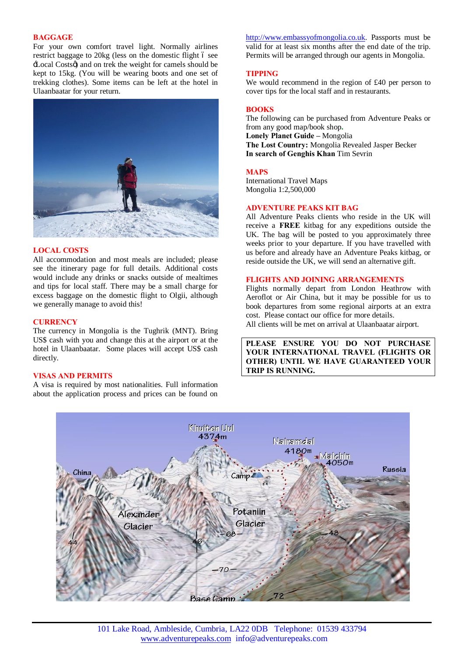# **BAGGAGE**

For your own comfort travel light. Normally airlines restrict baggage to 20kg (less on the domestic flight 6 see 'Local Costs') and on trek the weight for camels should be kept to 15kg. (You will be wearing boots and one set of trekking clothes). Some items can be left at the hotel in Ulaanbaatar for your return.



#### **LOCAL COSTS**

All accommodation and most meals are included; please see the itinerary page for full details. Additional costs would include any drinks or snacks outside of mealtimes and tips for local staff. There may be a small charge for excess baggage on the domestic flight to Olgii, although we generally manage to avoid this!

#### **CURRENCY**

The currency in Mongolia is the Tughrik (MNT). Bring US\$ cash with you and change this at the airport or at the hotel in Ulaanbaatar. Some places will accept US\$ cash directly.

#### **VISAS AND PERMITS**

A visa is required by most nationalities. Full information about the application process and prices can be found on [http://www.embassyofmongolia.co.uk.](http://www.embassyofmongolia.co.uk/) Passports must be valid for at least six months after the end date of the trip. Permits will be arranged through our agents in Mongolia.

# **TIPPING**

We would recommend in the region of £40 per person to cover tips for the local staff and in restaurants.

#### **BOOKS**

The following can be purchased from Adventure Peaks or from any good map/book shop**. Lonely Planet Guide –** Mongolia **The Lost Country:** Mongolia Revealed Jasper Becker **In search of Genghis Khan** Tim Sevrin

#### **MAPS**

International Travel Maps Mongolia 1:2,500,000

#### **ADVENTURE PEAKS KIT BAG**

All Adventure Peaks clients who reside in the UK will receive a **FREE** kitbag for any expeditions outside the UK. The bag will be posted to you approximately three weeks prior to your departure. If you have travelled with us before and already have an Adventure Peaks kitbag, or reside outside the UK, we will send an alternative gift.

#### **FLIGHTS AND JOINING ARRANGEMENTS**

Flights normally depart from London Heathrow with Aeroflot or Air China, but it may be possible for us to book departures from some regional airports at an extra cost. Please contact our office for more details. All clients will be met on arrival at Ulaanbaatar airport.

**PLEASE ENSURE YOU DO NOT PURCHASE YOUR INTERNATIONAL TRAVEL (FLIGHTS OR OTHER) UNTIL WE HAVE GUARANTEED YOUR TRIP IS RUNNING.**